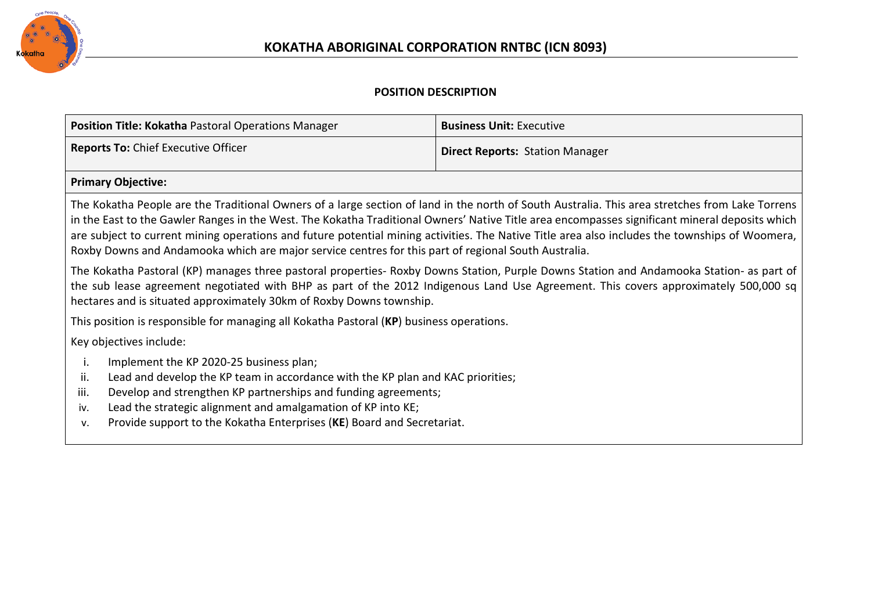

## **POSITION DESCRIPTION**

| Position Title: Kokatha Pastoral Operations Manager                                                                                             | <b>Business Unit: Executive</b>        |  |
|-------------------------------------------------------------------------------------------------------------------------------------------------|----------------------------------------|--|
| <b>Reports To: Chief Executive Officer</b>                                                                                                      | <b>Direct Reports: Station Manager</b> |  |
| <b>Primary Objective:</b>                                                                                                                       |                                        |  |
| The Kokatha People are the Traditional Owners of a large section of land in the north of South Australia. This area stretches from Lake Torrens |                                        |  |

in the East to the Gawler Ranges in the West. The Kokatha Traditional Owners' Native Title area encompasses significant mineral deposits which are subject to current mining operations and future potential mining activities. The Native Title area also includes the townships of Woomera, Roxby Downs and Andamooka which are major service centres for this part of regional South Australia.

The Kokatha Pastoral (KP) manages three pastoral properties- Roxby Downs Station, Purple Downs Station and Andamooka Station- as part of the sub lease agreement negotiated with BHP as part of the 2012 Indigenous Land Use Agreement. This covers approximately 500,000 sq hectares and is situated approximately 30km of Roxby Downs township.

This position is responsible for managing all Kokatha Pastoral (**KP**) business operations.

Key objectives include:

- i. Implement the KP 2020-25 business plan;
- ii. Lead and develop the KP team in accordance with the KP plan and KAC priorities;
- iii. Develop and strengthen KP partnerships and funding agreements;
- iv. Lead the strategic alignment and amalgamation of KP into KE;
- v. Provide support to the Kokatha Enterprises (**KE**) Board and Secretariat.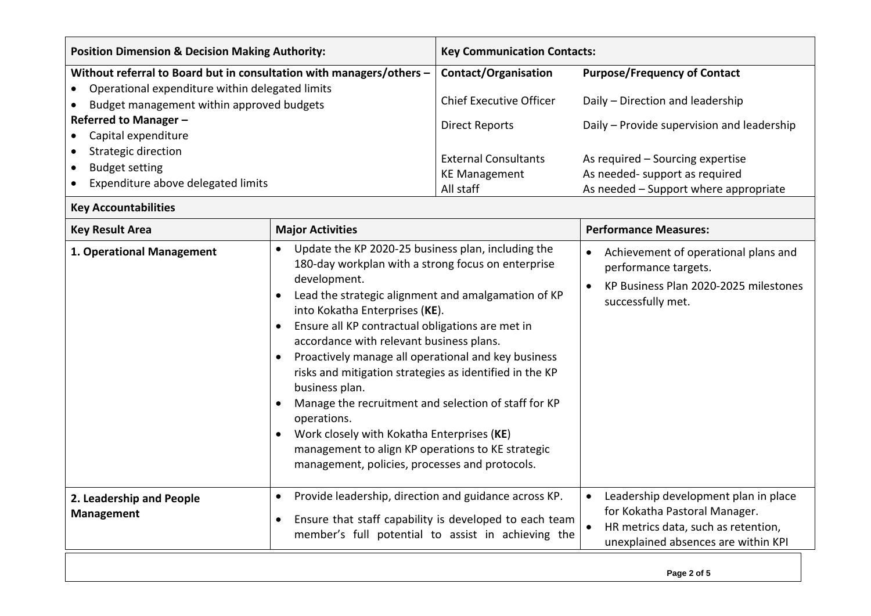| <b>Position Dimension &amp; Decision Making Authority:</b>                                                                                                                                                                                                                                                 |                                                                                                                                                                                                                                                                                                                                                                                                                                                                                                                                                                                                                                                                                             | <b>Key Communication Contacts:</b>                                                                                                                                            |                                                                                                                                                                                                                                      |  |  |
|------------------------------------------------------------------------------------------------------------------------------------------------------------------------------------------------------------------------------------------------------------------------------------------------------------|---------------------------------------------------------------------------------------------------------------------------------------------------------------------------------------------------------------------------------------------------------------------------------------------------------------------------------------------------------------------------------------------------------------------------------------------------------------------------------------------------------------------------------------------------------------------------------------------------------------------------------------------------------------------------------------------|-------------------------------------------------------------------------------------------------------------------------------------------------------------------------------|--------------------------------------------------------------------------------------------------------------------------------------------------------------------------------------------------------------------------------------|--|--|
| Without referral to Board but in consultation with managers/others -<br>Operational expenditure within delegated limits<br>Budget management within approved budgets<br>Referred to Manager -<br>Capital expenditure<br>Strategic direction<br><b>Budget setting</b><br>Expenditure above delegated limits |                                                                                                                                                                                                                                                                                                                                                                                                                                                                                                                                                                                                                                                                                             | <b>Contact/Organisation</b><br><b>Chief Executive Officer</b><br><b>Direct Reports</b><br><b>External Consultants</b><br><b>KE Management</b><br>All staff                    | <b>Purpose/Frequency of Contact</b><br>Daily - Direction and leadership<br>Daily - Provide supervision and leadership<br>As required - Sourcing expertise<br>As needed- support as required<br>As needed - Support where appropriate |  |  |
| <b>Key Accountabilities</b>                                                                                                                                                                                                                                                                                |                                                                                                                                                                                                                                                                                                                                                                                                                                                                                                                                                                                                                                                                                             |                                                                                                                                                                               |                                                                                                                                                                                                                                      |  |  |
| <b>Key Result Area</b>                                                                                                                                                                                                                                                                                     | <b>Major Activities</b>                                                                                                                                                                                                                                                                                                                                                                                                                                                                                                                                                                                                                                                                     |                                                                                                                                                                               | <b>Performance Measures:</b>                                                                                                                                                                                                         |  |  |
| 1. Operational Management                                                                                                                                                                                                                                                                                  | Update the KP 2020-25 business plan, including the<br>٠<br>180-day workplan with a strong focus on enterprise<br>development.<br>Lead the strategic alignment and amalgamation of KP<br>into Kokatha Enterprises (KE).<br>Ensure all KP contractual obligations are met in<br>accordance with relevant business plans.<br>Proactively manage all operational and key business<br>risks and mitigation strategies as identified in the KP<br>business plan.<br>Manage the recruitment and selection of staff for KP<br>operations.<br>Work closely with Kokatha Enterprises (KE)<br>٠<br>management to align KP operations to KE strategic<br>management, policies, processes and protocols. |                                                                                                                                                                               | Achievement of operational plans and<br>$\bullet$<br>performance targets.<br>KP Business Plan 2020-2025 milestones<br>$\bullet$<br>successfully met.                                                                                 |  |  |
| Provide leadership, direction and guidance across KP.<br>$\bullet$<br>2. Leadership and People<br><b>Management</b><br>Ensure that staff capability is developed to each team<br>٠<br>member's full potential to assist in achieving the                                                                   |                                                                                                                                                                                                                                                                                                                                                                                                                                                                                                                                                                                                                                                                                             | Leadership development plan in place<br>$\bullet$<br>for Kokatha Pastoral Manager.<br>HR metrics data, such as retention,<br>$\bullet$<br>unexplained absences are within KPI |                                                                                                                                                                                                                                      |  |  |
|                                                                                                                                                                                                                                                                                                            |                                                                                                                                                                                                                                                                                                                                                                                                                                                                                                                                                                                                                                                                                             |                                                                                                                                                                               | Page 2 of 5                                                                                                                                                                                                                          |  |  |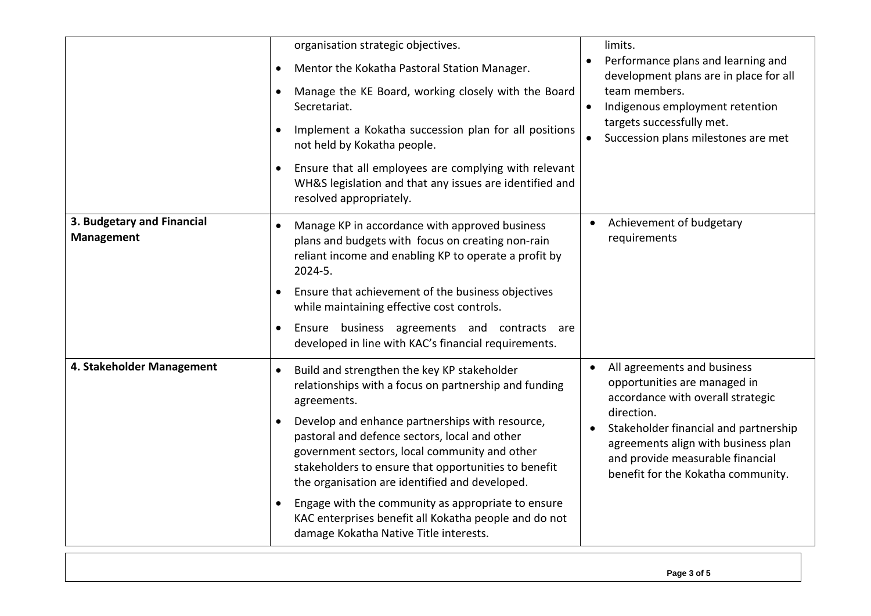|                                                 | organisation strategic objectives.<br>Mentor the Kokatha Pastoral Station Manager.<br>٠<br>Manage the KE Board, working closely with the Board<br>$\bullet$<br>Secretariat.<br>Implement a Kokatha succession plan for all positions<br>not held by Kokatha people.                                                                                                                                  | limits.<br>Performance plans and learning and<br>development plans are in place for all<br>team members.<br>Indigenous employment retention<br>$\bullet$<br>targets successfully met.<br>Succession plans milestones are met<br>$\bullet$                                             |
|-------------------------------------------------|------------------------------------------------------------------------------------------------------------------------------------------------------------------------------------------------------------------------------------------------------------------------------------------------------------------------------------------------------------------------------------------------------|---------------------------------------------------------------------------------------------------------------------------------------------------------------------------------------------------------------------------------------------------------------------------------------|
|                                                 | Ensure that all employees are complying with relevant<br>WH&S legislation and that any issues are identified and<br>resolved appropriately.                                                                                                                                                                                                                                                          |                                                                                                                                                                                                                                                                                       |
| 3. Budgetary and Financial<br><b>Management</b> | Manage KP in accordance with approved business<br>plans and budgets with focus on creating non-rain<br>reliant income and enabling KP to operate a profit by<br>2024-5.<br>Ensure that achievement of the business objectives<br>$\bullet$<br>while maintaining effective cost controls.                                                                                                             |                                                                                                                                                                                                                                                                                       |
|                                                 | Ensure business agreements and contracts are<br>$\bullet$<br>developed in line with KAC's financial requirements.                                                                                                                                                                                                                                                                                    |                                                                                                                                                                                                                                                                                       |
| 4. Stakeholder Management                       | Build and strengthen the key KP stakeholder<br>$\bullet$<br>relationships with a focus on partnership and funding<br>agreements.<br>Develop and enhance partnerships with resource,<br>٠<br>pastoral and defence sectors, local and other<br>government sectors, local community and other<br>stakeholders to ensure that opportunities to benefit<br>the organisation are identified and developed. | All agreements and business<br>$\bullet$<br>opportunities are managed in<br>accordance with overall strategic<br>direction.<br>Stakeholder financial and partnership<br>agreements align with business plan<br>and provide measurable financial<br>benefit for the Kokatha community. |
|                                                 | Engage with the community as appropriate to ensure<br>$\bullet$<br>KAC enterprises benefit all Kokatha people and do not<br>damage Kokatha Native Title interests.                                                                                                                                                                                                                                   |                                                                                                                                                                                                                                                                                       |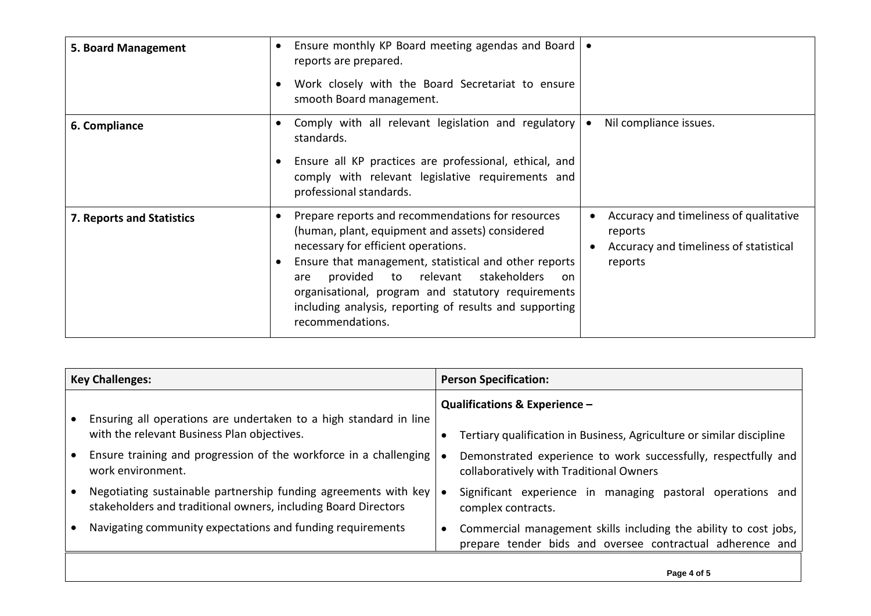| 5. Board Management       | Ensure monthly KP Board meeting agendas and Board<br>$\bullet$<br>$\bullet$<br>reports are prepared.                                                                                                                                                                                                                                                                                                                                                                                                                               |
|---------------------------|------------------------------------------------------------------------------------------------------------------------------------------------------------------------------------------------------------------------------------------------------------------------------------------------------------------------------------------------------------------------------------------------------------------------------------------------------------------------------------------------------------------------------------|
|                           | Work closely with the Board Secretariat to ensure<br>$\bullet$<br>smooth Board management.                                                                                                                                                                                                                                                                                                                                                                                                                                         |
| 6. Compliance             | Comply with all relevant legislation and regulatory<br>Nil compliance issues.<br>$\bullet$<br>$\bullet$<br>standards.                                                                                                                                                                                                                                                                                                                                                                                                              |
|                           | Ensure all KP practices are professional, ethical, and<br>$\bullet$<br>comply with relevant legislative requirements and<br>professional standards.                                                                                                                                                                                                                                                                                                                                                                                |
| 7. Reports and Statistics | Prepare reports and recommendations for resources<br>Accuracy and timeliness of qualitative<br>٠<br>(human, plant, equipment and assets) considered<br>reports<br>necessary for efficient operations.<br>Accuracy and timeliness of statistical<br>Ensure that management, statistical and other reports<br>reports<br>$\bullet$<br>provided to relevant stakeholders<br>are<br><sub>on</sub><br>organisational, program and statutory requirements<br>including analysis, reporting of results and supporting<br>recommendations. |

| <b>Key Challenges:</b> |                                                                                                                                   | <b>Person Specification:</b> |                                                                                                                               |
|------------------------|-----------------------------------------------------------------------------------------------------------------------------------|------------------------------|-------------------------------------------------------------------------------------------------------------------------------|
|                        | Ensuring all operations are undertaken to a high standard in line<br>with the relevant Business Plan objectives.                  |                              | Qualifications & Experience -<br>Tertiary qualification in Business, Agriculture or similar discipline                        |
|                        | Ensure training and progression of the workforce in a challenging<br>work environment.                                            |                              | Demonstrated experience to work successfully, respectfully and<br>collaboratively with Traditional Owners                     |
|                        | Negotiating sustainable partnership funding agreements with key<br>stakeholders and traditional owners, including Board Directors |                              | Significant experience in managing pastoral operations and<br>complex contracts.                                              |
|                        | Navigating community expectations and funding requirements                                                                        |                              | Commercial management skills including the ability to cost jobs,<br>prepare tender bids and oversee contractual adherence and |
|                        |                                                                                                                                   |                              |                                                                                                                               |